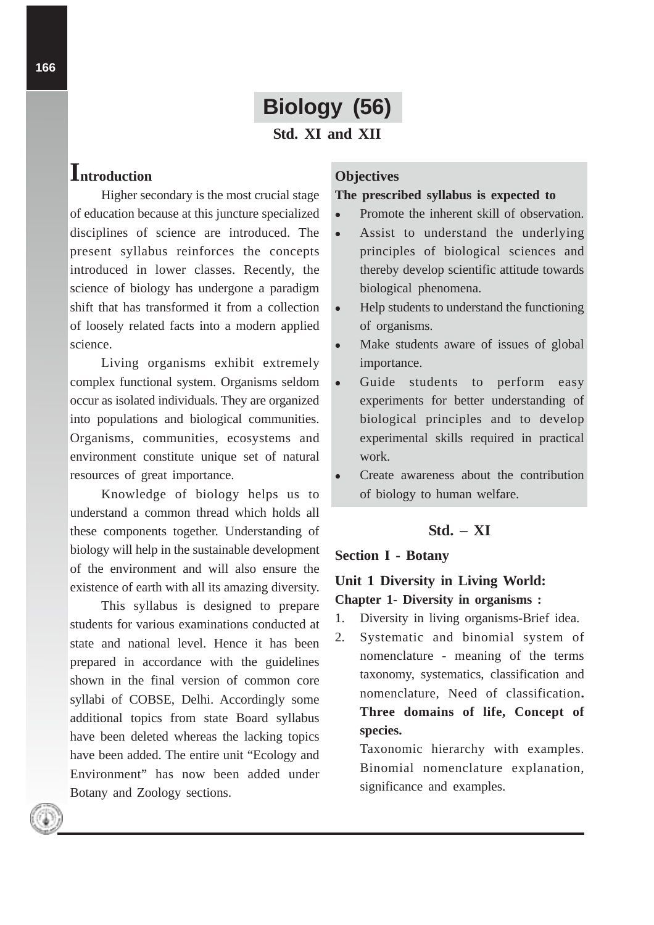# **Biology (56)**

**Std. XI and XII**

# **Introduction**

Higher secondary is the most crucial stage of education because at this juncture specialized disciplines of science are introduced. The present syllabus reinforces the concepts introduced in lower classes. Recently, the science of biology has undergone a paradigm shift that has transformed it from a collection of loosely related facts into a modern applied science.

Living organisms exhibit extremely complex functional system. Organisms seldom occur as isolated individuals. They are organized into populations and biological communities. Organisms, communities, ecosystems and environment constitute unique set of natural resources of great importance.

Knowledge of biology helps us to understand a common thread which holds all these components together. Understanding of biology will help in the sustainable development of the environment and will also ensure the existence of earth with all its amazing diversity.

This syllabus is designed to prepare students for various examinations conducted at state and national level. Hence it has been prepared in accordance with the guidelines shown in the final version of common core syllabi of COBSE, Delhi. Accordingly some additional topics from state Board syllabus have been deleted whereas the lacking topics have been added. The entire unit "Ecology and Environment" has now been added under Botany and Zoology sections.

### **Objectives**

#### **The prescribed syllabus is expected to**

- Promote the inherent skill of observation.
- Assist to understand the underlying principles of biological sciences and thereby develop scientific attitude towards biological phenomena.
- Help students to understand the functioning of organisms.
- Make students aware of issues of global importance.
- Guide students to perform easy experiments for better understanding of biological principles and to develop experimental skills required in practical work.
- Create awareness about the contribution of biology to human welfare.

# **Std. – XI**

#### **Section I - Botany**

# **Unit 1 Diversity in Living World: Chapter 1- Diversity in organisms :**

- 1. Diversity in living organisms-Brief idea.
- 2. Systematic and binomial system of nomenclature - meaning of the terms taxonomy, systematics, classification and nomenclature, Need of classification**. Three domains of life, Concept of species.**

Taxonomic hierarchy with examples. Binomial nomenclature explanation, significance and examples.

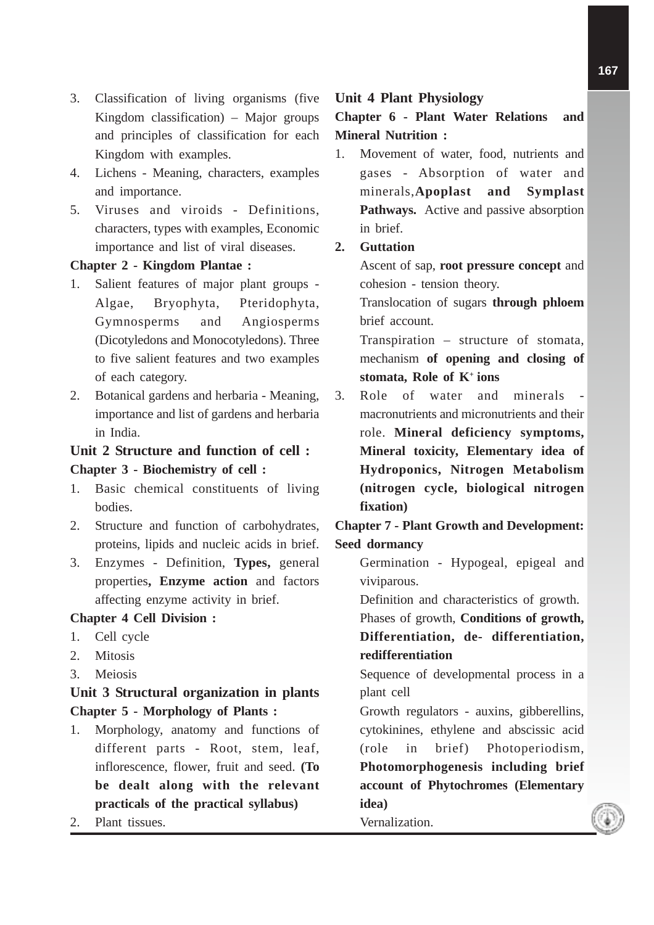- 3. Classification of living organisms (five Kingdom classification) – Major groups and principles of classification for each Kingdom with examples.
- 4. Lichens Meaning, characters, examples and importance.
- 5. Viruses and viroids Definitions, characters, types with examples, Economic importance and list of viral diseases.

### **Chapter 2 - Kingdom Plantae :**

- 1. Salient features of major plant groups Algae, Bryophyta, Pteridophyta, Gymnosperms and Angiosperms (Dicotyledons and Monocotyledons). Three to five salient features and two examples of each category.
- 2. Botanical gardens and herbaria Meaning, importance and list of gardens and herbaria in India.

# **Unit 2 Structure and function of cell : Chapter 3 - Biochemistry of cell :**

- 1. Basic chemical constituents of living bodies.
- 2. Structure and function of carbohydrates, proteins, lipids and nucleic acids in brief.
- 3. Enzymes Definition, **Types,** general properties**, Enzyme action** and factors affecting enzyme activity in brief.

### **Chapter 4 Cell Division :**

- 1. Cell cycle
- 2. Mitosis
- 3. Meiosis

# **Unit 3 Structural organization in plants Chapter 5 - Morphology of Plants :**

- 1. Morphology, anatomy and functions of different parts - Root, stem, leaf, inflorescence, flower, fruit and seed. **(To be dealt along with the relevant practicals of the practical syllabus)**
- 2. Plant tissues.

### **Unit 4 Plant Physiology**

**Chapter 6 - Plant Water Relations and Mineral Nutrition :**

1. Movement of water, food, nutrients and gases - Absorption of water and minerals,**Apoplast and Symplast Pathways.** Active and passive absorption in brief.

### **2. Guttation**

Ascent of sap, **root pressure concept** and cohesion - tension theory.

Translocation of sugars **through phloem** brief account.

Transpiration – structure of stomata, mechanism **of opening and closing of stomata, Role of K+ ions**

3. Role of water and minerals macronutrients and micronutrients and their role. **Mineral deficiency symptoms, Mineral toxicity, Elementary idea of Hydroponics, Nitrogen Metabolism (nitrogen cycle, biological nitrogen fixation)**

**Chapter 7 - Plant Growth and Development: Seed dormancy**

Germination - Hypogeal, epigeal and viviparous.

Definition and characteristics of growth.

Phases of growth, **Conditions of growth, Differentiation, de- differentiation, redifferentiation**

Sequence of developmental process in a plant cell

Growth regulators - auxins, gibberellins, cytokinines, ethylene and abscissic acid (role in brief) Photoperiodism, **Photomorphogenesis including brief account of Phytochromes (Elementary idea)**

Vernalization.

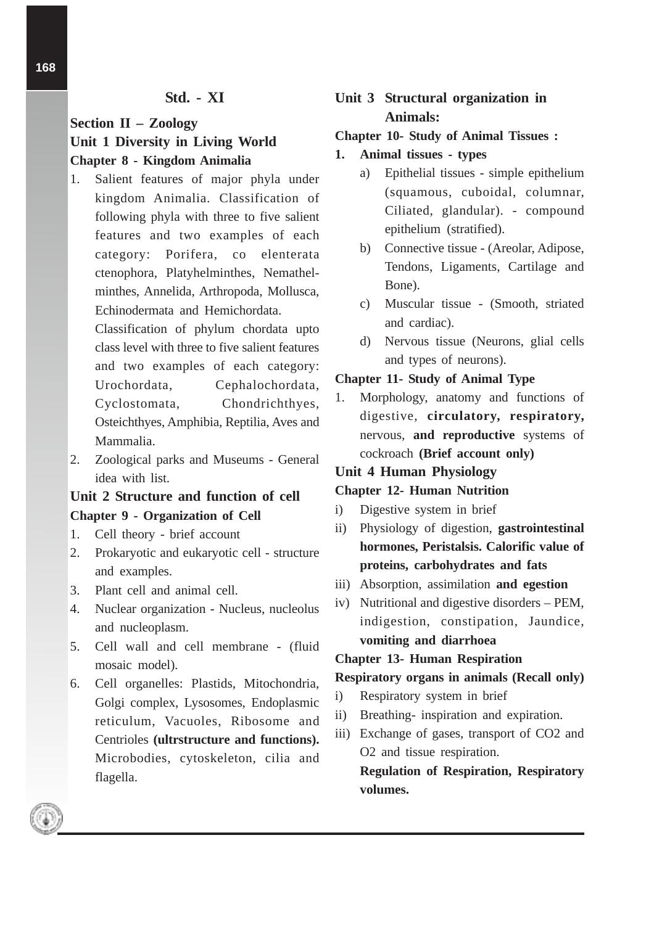# **Std. - XI**

# **Section II – Zoology Unit 1 Diversity in Living World Chapter 8 - Kingdom Animalia**

1. Salient features of major phyla under kingdom Animalia. Classification of following phyla with three to five salient features and two examples of each category: Porifera, co elenterata ctenophora, Platyhelminthes, Nemathelminthes, Annelida, Arthropoda, Mollusca, Echinodermata and Hemichordata.

Classification of phylum chordata upto class level with three to five salient features and two examples of each category: Urochordata, Cephalochordata, Cyclostomata, Chondrichthyes, Osteichthyes, Amphibia, Reptilia, Aves and Mammalia.

2. Zoological parks and Museums - General idea with list.

# **Unit 2 Structure and function of cell Chapter 9 - Organization of Cell**

- 1. Cell theory brief account
- 2. Prokaryotic and eukaryotic cell structure and examples.
- 3. Plant cell and animal cell.
- 4. Nuclear organization Nucleus, nucleolus and nucleoplasm.
- 5. Cell wall and cell membrane (fluid mosaic model).
- 6. Cell organelles: Plastids, Mitochondria, Golgi complex, Lysosomes, Endoplasmic reticulum, Vacuoles, Ribosome and Centrioles **(ultrstructure and functions).** Microbodies, cytoskeleton, cilia and flagella.

# **Unit 3 Structural organization in Animals:**

### **Chapter 10- Study of Animal Tissues :**

- **1. Animal tissues types**
	- a) Epithelial tissues simple epithelium (squamous, cuboidal, columnar, Ciliated, glandular). - compound epithelium (stratified).
	- b) Connective tissue (Areolar, Adipose, Tendons, Ligaments, Cartilage and Bone).
	- c) Muscular tissue (Smooth, striated and cardiac).
	- d) Nervous tissue (Neurons, glial cells and types of neurons).

### **Chapter 11- Study of Animal Type**

1. Morphology, anatomy and functions of digestive, **circulatory, respiratory,** nervous, **and reproductive** systems of cockroach **(Brief account only)**

### **Unit 4 Human Physiology**

### **Chapter 12- Human Nutrition**

- i) Digestive system in brief
- ii) Physiology of digestion, **gastrointestinal hormones, Peristalsis. Calorific value of proteins, carbohydrates and fats**
- iii) Absorption, assimilation **and egestion**
- iv) Nutritional and digestive disorders PEM, indigestion, constipation, Jaundice, **vomiting and diarrhoea**

### **Chapter 13- Human Respiration**

### **Respiratory organs in animals (Recall only)**

- i) Respiratory system in brief
- ii) Breathing- inspiration and expiration.
- iii) Exchange of gases, transport of CO2 and O2 and tissue respiration. **Regulation of Respiration, Respiratory**

**volumes.**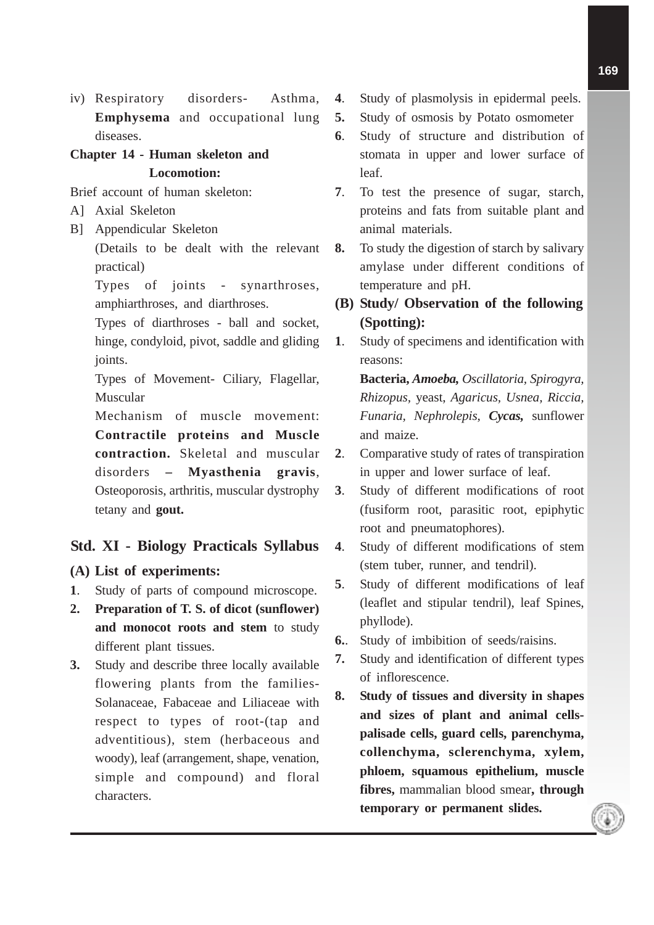iv) Respiratory disorders- Asthma, **Emphysema** and occupational lung diseases.

# **Chapter 14 - Human skeleton and Locomotion:**

Brief account of human skeleton:

- A] Axial Skeleton
- B] Appendicular Skeleton

(Details to be dealt with the relevant practical)

Types of joints - synarthroses, amphiarthroses, and diarthroses.

Types of diarthroses - ball and socket, hinge, condyloid, pivot, saddle and gliding joints.

Types of Movement- Ciliary, Flagellar, Muscular

Mechanism of muscle movement: **Contractile proteins and Muscle contraction.** Skeletal and muscular disorders **– Myasthenia gravis**, Osteoporosis, arthritis, muscular dystrophy tetany and **gout.**

# **Std. XI - Biology Practicals Syllabus**

# **(A) List of experiments:**

- **1**. Study of parts of compound microscope.
- **2. Preparation of T. S. of dicot (sunflower) and monocot roots and stem** to study different plant tissues.
- **3.** Study and describe three locally available flowering plants from the families-Solanaceae, Fabaceae and Liliaceae with respect to types of root-(tap and adventitious), stem (herbaceous and woody), leaf (arrangement, shape, venation, simple and compound) and floral characters.
- **4**. Study of plasmolysis in epidermal peels.
- **5.** Study of osmosis by Potato osmometer
- **6**. Study of structure and distribution of stomata in upper and lower surface of leaf.
- **7**. To test the presence of sugar, starch, proteins and fats from suitable plant and animal materials.
- **8.** To study the digestion of starch by salivary amylase under different conditions of temperature and pH.
- **(B) Study/ Observation of the following (Spotting):**
- **1**. Study of specimens and identification with reasons:

**Bacteria,** *Amoeba, Oscillatoria, Spirogyra, Rhizopus,* yeast, *Agaricus, Usnea, Riccia, Funaria, Nephrolepis*, *Cycas,* sunflower and maize.

- **2**. Comparative study of rates of transpiration in upper and lower surface of leaf.
- **3**. Study of different modifications of root (fusiform root, parasitic root, epiphytic root and pneumatophores).
- **4**. Study of different modifications of stem (stem tuber, runner, and tendril).
- **5**. Study of different modifications of leaf (leaflet and stipular tendril), leaf Spines, phyllode).
- **6.**. Study of imbibition of seeds/raisins.
- **7.** Study and identification of different types of inflorescence.
- **8. Study of tissues and diversity in shapes and sizes of plant and animal cellspalisade cells, guard cells, parenchyma, collenchyma, sclerenchyma, xylem, phloem, squamous epithelium, muscle fibres,** mammalian blood smear**, through temporary or permanent slides.**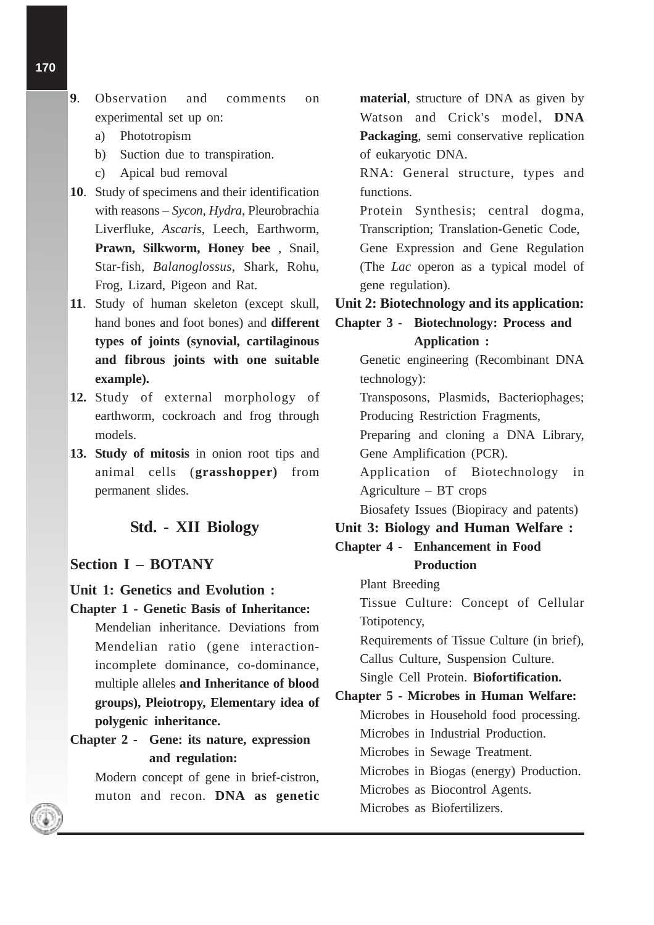- a) Phototropism
- b) Suction due to transpiration.
- c) Apical bud removal
- **10**. Study of specimens and their identification with reasons – *Sycon, Hydra*, Pleurobrachia Liverfluke*, Ascaris*, Leech, Earthworm, **Prawn, Silkworm, Honey bee** , Snail, Star-fish, *Balanoglossus*, Shark, Rohu, Frog, Lizard, Pigeon and Rat.
- **11**. Study of human skeleton (except skull, hand bones and foot bones) and **different types of joints (synovial, cartilaginous and fibrous joints with one suitable example).**
- **12.** Study of external morphology of earthworm, cockroach and frog through models.
- **13. Study of mitosis** in onion root tips and animal cells (**grasshopper)** from permanent slides.

# **Std. - XII Biology**

#### **Section I – BOTANY**

#### **Unit 1: Genetics and Evolution :**

- **Chapter 1 Genetic Basis of Inheritance:** Mendelian inheritance. Deviations from Mendelian ratio (gene interactionincomplete dominance, co-dominance, multiple alleles **and Inheritance of blood groups), Pleiotropy, Elementary idea of polygenic inheritance.**
- **Chapter 2 Gene: its nature, expression and regulation:**

Modern concept of gene in brief-cistron, muton and recon. **DNA as genetic**

**material**, structure of DNA as given by Watson and Crick's model, **DNA Packaging**, semi conservative replication of eukaryotic DNA.

RNA: General structure, types and functions.

Protein Synthesis; central dogma, Transcription; Translation-Genetic Code, Gene Expression and Gene Regulation (The *Lac* operon as a typical model of gene regulation).

#### **Unit 2: Biotechnology and its application:**

# **Chapter 3 - Biotechnology: Process and Application :**

Genetic engineering (Recombinant DNA technology):

Transposons, Plasmids, Bacteriophages; Producing Restriction Fragments,

Preparing and cloning a DNA Library, Gene Amplification (PCR).

Application of Biotechnology in Agriculture – BT crops

Biosafety Issues (Biopiracy and patents)

### **Unit 3: Biology and Human Welfare :**

# **Chapter 4 - Enhancement in Food Production**

Plant Breeding

Tissue Culture: Concept of Cellular Totipotency,

Requirements of Tissue Culture (in brief), Callus Culture, Suspension Culture.

Single Cell Protein. **Biofortification.**

**Chapter 5 - Microbes in Human Welfare:** Microbes in Household food processing. Microbes in Industrial Production. Microbes in Sewage Treatment. Microbes in Biogas (energy) Production. Microbes as Biocontrol Agents. Microbes as Biofertilizers.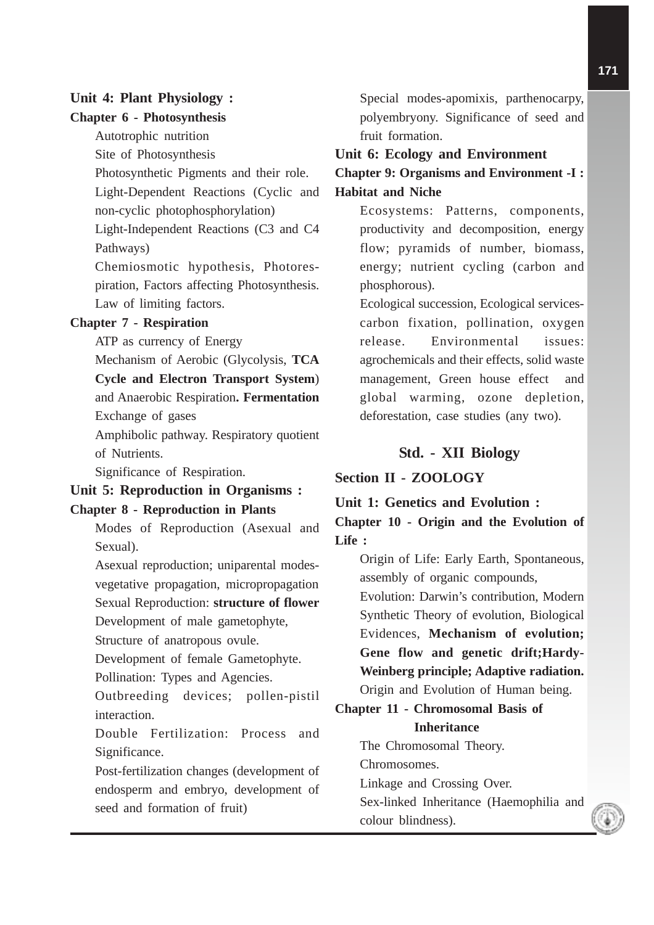### **Unit 4: Plant Physiology :**

#### **Chapter 6 - Photosynthesis**

Autotrophic nutrition

Site of Photosynthesis

Photosynthetic Pigments and their role.

Light-Dependent Reactions (Cyclic and

non-cyclic photophosphorylation)

Light-Independent Reactions (C3 and C4 Pathways)

Chemiosmotic hypothesis, Photorespiration, Factors affecting Photosynthesis. Law of limiting factors.

### **Chapter 7 - Respiration**

ATP as currency of Energy

Mechanism of Aerobic (Glycolysis, **TCA**

**Cycle and Electron Transport System**)

# and Anaerobic Respiration**. Fermentation** Exchange of gases

Amphibolic pathway. Respiratory quotient of Nutrients.

Significance of Respiration.

# **Unit 5: Reproduction in Organisms : Chapter 8 - Reproduction in Plants**

Modes of Reproduction (Asexual and Sexual).

Asexual reproduction; uniparental modesvegetative propagation, micropropagation Sexual Reproduction: **structure of flower**

Development of male gametophyte,

Structure of anatropous ovule.

Development of female Gametophyte.

Pollination: Types and Agencies.

Outbreeding devices; pollen-pistil interaction.

Double Fertilization: Process and Significance.

Post-fertilization changes (development of endosperm and embryo, development of seed and formation of fruit)

Special modes-apomixis, parthenocarpy, polyembryony. Significance of seed and fruit formation.

#### **Unit 6: Ecology and Environment**

**Chapter 9: Organisms and Environment -I : Habitat and Niche**

Ecosystems: Patterns, components, productivity and decomposition, energy flow; pyramids of number, biomass, energy; nutrient cycling (carbon and phosphorous).

Ecological succession, Ecological servicescarbon fixation, pollination, oxygen release. Environmental issues: agrochemicals and their effects, solid waste management, Green house effect and global warming, ozone depletion, deforestation, case studies (any two).

#### **Std. - XII Biology**

### **Section II - ZOOLOGY**

### **Unit 1: Genetics and Evolution :**

**Chapter 10 - Origin and the Evolution of Life :**

> Origin of Life: Early Earth, Spontaneous, assembly of organic compounds,

> Evolution: Darwin's contribution, Modern Synthetic Theory of evolution, Biological Evidences, **Mechanism of evolution; Gene flow and genetic drift;Hardy-Weinberg principle; Adaptive radiation.**

Origin and Evolution of Human being.

### **Chapter 11 - Chromosomal Basis of Inheritance**

The Chromosomal Theory. Chromosomes. Linkage and Crossing Over. Sex-linked Inheritance (Haemophilia and colour blindness).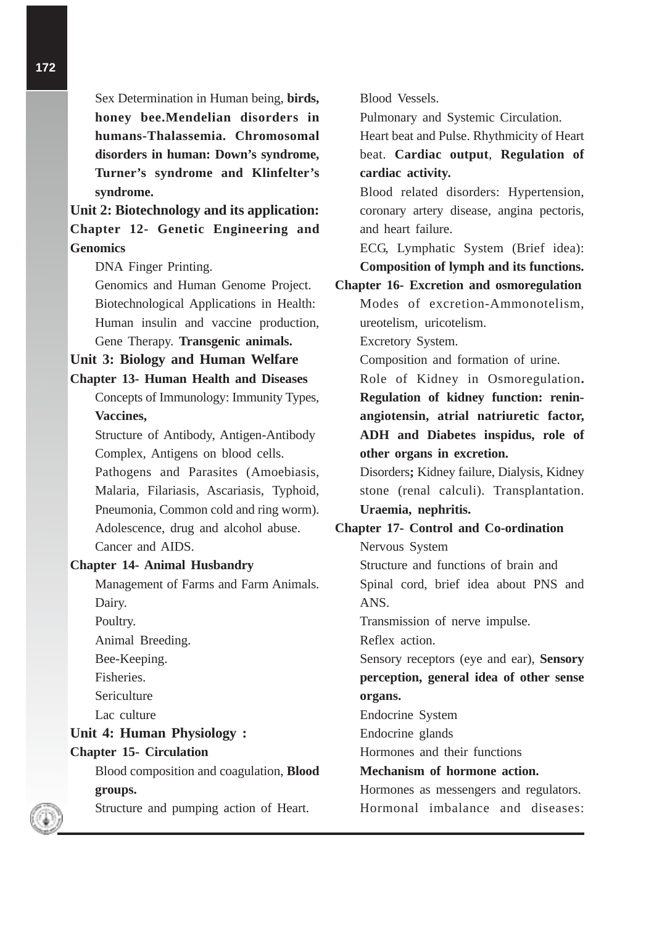Sex Determination in Human being, **birds, honey bee.Mendelian disorders in humans-Thalassemia. Chromosomal disorders in human: Down's syndrome, Turner's syndrome and Klinfelter's syndrome.**

**Unit 2: Biotechnology and its application: Chapter 12- Genetic Engineering and Genomics**

DNA Finger Printing.

Genomics and Human Genome Project. Biotechnological Applications in Health: Human insulin and vaccine production, Gene Therapy. **Transgenic animals.**

**Unit 3: Biology and Human Welfare**

#### **Chapter 13- Human Health and Diseases**

Concepts of Immunology: Immunity Types, **Vaccines,**

Structure of Antibody, Antigen-Antibody Complex, Antigens on blood cells.

Pathogens and Parasites (Amoebiasis, Malaria, Filariasis, Ascariasis, Typhoid, Pneumonia, Common cold and ring worm). Adolescence, drug and alcohol abuse. Cancer and AIDS.

#### **Chapter 14- Animal Husbandry**

Management of Farms and Farm Animals. Dairy.

Poultry.

Animal Breeding.

Bee-Keeping.

Fisheries.

**Sericulture** 

Lac culture

# **Unit 4: Human Physiology : Chapter 15- Circulation**

Blood composition and coagulation, **Blood groups.**

Structure and pumping action of Heart.

Blood Vessels.

Pulmonary and Systemic Circulation.

Heart beat and Pulse. Rhythmicity of Heart beat. **Cardiac output**, **Regulation of cardiac activity.**

Blood related disorders: Hypertension, coronary artery disease, angina pectoris, and heart failure.

ECG, Lymphatic System (Brief idea): **Composition of lymph and its functions.**

**Chapter 16- Excretion and osmoregulation** Modes of excretion-Ammonotelism, ureotelism, uricotelism.

Excretory System.

Composition and formation of urine.

Role of Kidney in Osmoregulation**. Regulation of kidney function: reninangiotensin, atrial natriuretic factor, ADH and Diabetes inspidus, role of other organs in excretion.**

Disorders**;** Kidney failure, Dialysis, Kidney stone (renal calculi). Transplantation. **Uraemia, nephritis.**

# **Chapter 17- Control and Co-ordination**

Nervous System

Structure and functions of brain and Spinal cord, brief idea about PNS and ANS.

Transmission of nerve impulse.

Reflex action.

Sensory receptors (eye and ear), **Sensory perception, general idea of other sense organs.**

Endocrine System

Endocrine glands

Hormones and their functions

### **Mechanism of hormone action.**

Hormones as messengers and regulators. Hormonal imbalance and diseases: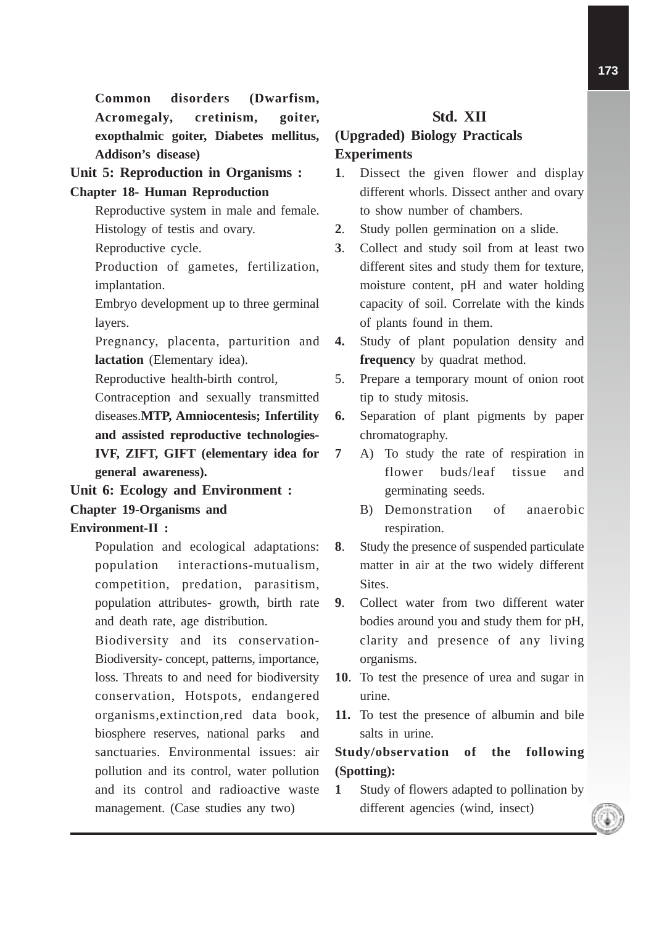**Common disorders (Dwarfism, Acromegaly, cretinism, goiter, exopthalmic goiter, Diabetes mellitus, Addison's disease)**

**Unit 5: Reproduction in Organisms : Chapter 18- Human Reproduction**

> Reproductive system in male and female. Histology of testis and ovary.

Reproductive cycle.

Production of gametes, fertilization, implantation.

Embryo development up to three germinal layers.

Pregnancy, placenta, parturition and **lactation** (Elementary idea).

Reproductive health-birth control,

Contraception and sexually transmitted diseases.**MTP, Amniocentesis; Infertility and assisted reproductive technologies-IVF, ZIFT, GIFT (elementary idea for general awareness).**

**Unit 6: Ecology and Environment : Chapter 19-Organisms and Environment-II :**

> Population and ecological adaptations: population interactions-mutualism, competition, predation, parasitism, population attributes- growth, birth rate and death rate, age distribution.

> Biodiversity and its conservation-Biodiversity- concept, patterns, importance, loss. Threats to and need for biodiversity conservation, Hotspots, endangered organisms,extinction,red data book, biosphere reserves, national parks and sanctuaries. Environmental issues: air pollution and its control, water pollution and its control and radioactive waste management. (Case studies any two)

# **Std. XII**

# **(Upgraded) Biology Practicals Experiments**

- **1**. Dissect the given flower and display different whorls. Dissect anther and ovary to show number of chambers.
- **2**. Study pollen germination on a slide.
- **3**. Collect and study soil from at least two different sites and study them for texture, moisture content, pH and water holding capacity of soil. Correlate with the kinds of plants found in them.
- **4.** Study of plant population density and **frequency** by quadrat method.
- 5. Prepare a temporary mount of onion root tip to study mitosis.
- **6.** Separation of plant pigments by paper chromatography.
- **7** A) To study the rate of respiration in flower buds/leaf tissue and germinating seeds.
	- B) Demonstration of anaerobic respiration.
- **8**. Study the presence of suspended particulate matter in air at the two widely different Sites.
- **9**. Collect water from two different water bodies around you and study them for pH, clarity and presence of any living organisms.
- **10**. To test the presence of urea and sugar in urine.
- **11.** To test the presence of albumin and bile salts in urine.

# **Study/observation of the following (Spotting):**

**1** Study of flowers adapted to pollination by different agencies (wind, insect)